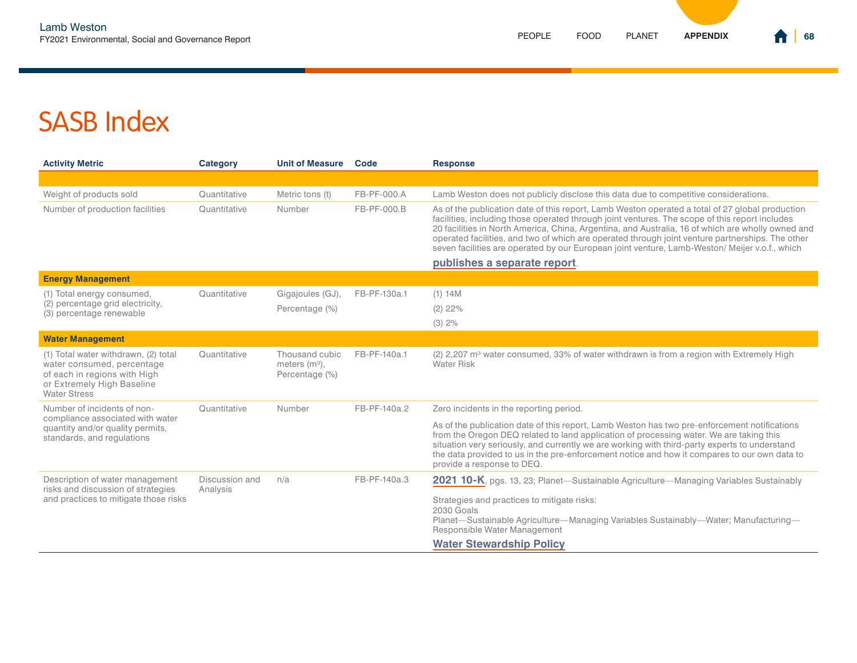| <b>Activity Metric</b>                                                                                                                                  | Category                   | <b>Unit of Measure</b>                              | Code         | <b>Response</b>                                                                                                                                                                                                                                                                                                                                                                                                                                                                                              |
|---------------------------------------------------------------------------------------------------------------------------------------------------------|----------------------------|-----------------------------------------------------|--------------|--------------------------------------------------------------------------------------------------------------------------------------------------------------------------------------------------------------------------------------------------------------------------------------------------------------------------------------------------------------------------------------------------------------------------------------------------------------------------------------------------------------|
|                                                                                                                                                         |                            |                                                     |              |                                                                                                                                                                                                                                                                                                                                                                                                                                                                                                              |
| Weight of products sold                                                                                                                                 | Quantitative               | Metric tons (t)                                     | FB-PF-000.A  | Lamb Weston does not publicly disclose this data due to competitive considerations.                                                                                                                                                                                                                                                                                                                                                                                                                          |
| Number of production facilities                                                                                                                         | Quantitative               | Number                                              | FB-PF-000.B  | As of the publication date of this report, Lamb Weston operated a total of 27 global production<br>facilities, including those operated through joint ventures. The scope of this report includes<br>20 facilities in North America, China, Argentina, and Australia, 16 of which are wholly owned and<br>operated facilities, and two of which are operated through joint venture partnerships. The other<br>seven facilities are operated by our European joint venture, Lamb-Weston/ Meijer v.o.f., which |
|                                                                                                                                                         |                            |                                                     |              | publishes a separate report.                                                                                                                                                                                                                                                                                                                                                                                                                                                                                 |
| <b>Energy Management</b>                                                                                                                                |                            |                                                     |              |                                                                                                                                                                                                                                                                                                                                                                                                                                                                                                              |
| (1) Total energy consumed,<br>(2) percentage grid electricity,                                                                                          | Quantitative               | Gigajoules (GJ),<br>Percentage (%)                  | FB-PF-130a.1 | (1) 14M                                                                                                                                                                                                                                                                                                                                                                                                                                                                                                      |
| (3) percentage renewable                                                                                                                                |                            |                                                     |              | $(2)$ 22%                                                                                                                                                                                                                                                                                                                                                                                                                                                                                                    |
|                                                                                                                                                         |                            |                                                     |              | (3) 2%                                                                                                                                                                                                                                                                                                                                                                                                                                                                                                       |
| <b>Water Management</b>                                                                                                                                 |                            |                                                     |              |                                                                                                                                                                                                                                                                                                                                                                                                                                                                                                              |
| (1) Total water withdrawn, (2) total<br>water consumed, percentage<br>of each in regions with High<br>or Extremely High Baseline<br><b>Water Stress</b> | Quantitative               | Thousand cubic<br>meters $(m3)$ ,<br>Percentage (%) | FB-PF-140a.1 | (2) 2,207 m <sup>3</sup> water consumed, 33% of water withdrawn is from a region with Extremely High<br>Water Risk                                                                                                                                                                                                                                                                                                                                                                                           |
| Number of incidents of non-<br>compliance associated with water<br>quantity and/or quality permits,<br>standards, and regulations                       | Quantitative               | Number                                              | FB-PF-140a.2 | Zero incidents in the reporting period.                                                                                                                                                                                                                                                                                                                                                                                                                                                                      |
|                                                                                                                                                         |                            |                                                     |              | As of the publication date of this report, Lamb Weston has two pre-enforcement notifications<br>from the Oregon DEQ related to land application of processing water. We are taking this<br>situation very seriously, and currently we are working with third-party experts to understand<br>the data provided to us in the pre-enforcement notice and how it compares to our own data to<br>provide a response to DEQ.                                                                                       |
| Description of water management<br>risks and discussion of strategies<br>and practices to mitigate those risks                                          | Discussion and<br>Analysis | n/a                                                 | FB-PF-140a.3 | <b>2021 10-K</b> , pgs. 13, 23; Planet—Sustainable Agriculture—Managing Variables Sustainably                                                                                                                                                                                                                                                                                                                                                                                                                |
|                                                                                                                                                         |                            |                                                     |              | Strategies and practices to mitigate risks:<br>2030 Goals<br>Planet-Sustainable Agriculture-Managing Variables Sustainably-Water; Manufacturing-<br>Responsible Water Management<br><b>Water Stewardship Policy</b>                                                                                                                                                                                                                                                                                          |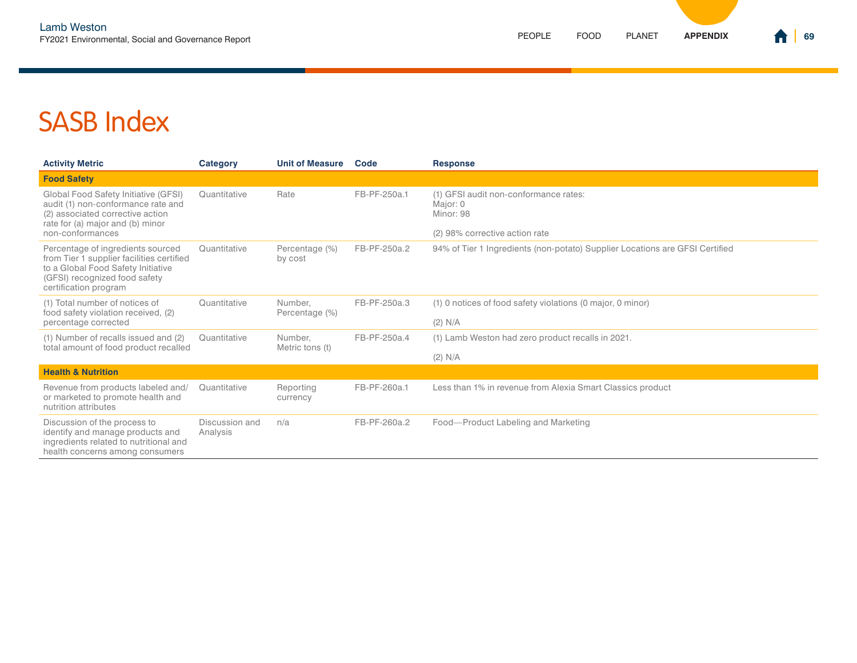| <b>Activity Metric</b>                                                                                                                                                         | Category                   | <b>Unit of Measure</b>     | Code         | <b>Response</b>                                                                                  |
|--------------------------------------------------------------------------------------------------------------------------------------------------------------------------------|----------------------------|----------------------------|--------------|--------------------------------------------------------------------------------------------------|
| <b>Food Safety</b>                                                                                                                                                             |                            |                            |              |                                                                                                  |
| Global Food Safety Initiative (GFSI)<br>audit (1) non-conformance rate and<br>(2) associated corrective action<br>rate for (a) major and (b) minor<br>non-conformances         | Quantitative               | Rate                       | FB-PF-250a.1 | (1) GFSI audit non-conformance rates:<br>Major: 0<br>Minor: 98<br>(2) 98% corrective action rate |
| Percentage of ingredients sourced<br>from Tier 1 supplier facilities certified<br>to a Global Food Safety Initiative<br>(GFSI) recognized food safety<br>certification program | Quantitative               | Percentage (%)<br>by cost  | FB-PF-250a.2 | 94% of Tier 1 Ingredients (non-potato) Supplier Locations are GFSI Certified                     |
| (1) Total number of notices of<br>food safety violation received, (2)<br>percentage corrected                                                                                  | Quantitative               | Number.<br>Percentage (%)  | FB-PF-250a.3 | (1) 0 notices of food safety violations (0 major, 0 minor)<br>(2) N/A                            |
| (1) Number of recalls issued and (2)<br>total amount of food product recalled                                                                                                  | Quantitative               | Number.<br>Metric tons (t) | FB-PF-250a.4 | (1) Lamb Weston had zero product recalls in 2021.<br>(2) N/A                                     |
| <b>Health &amp; Nutrition</b>                                                                                                                                                  |                            |                            |              |                                                                                                  |
| Revenue from products labeled and/<br>or marketed to promote health and<br>nutrition attributes                                                                                | Quantitative               | Reporting<br>currency      | FB-PF-260a.1 | Less than 1% in revenue from Alexia Smart Classics product                                       |
| Discussion of the process to<br>identify and manage products and<br>ingredients related to nutritional and<br>health concerns among consumers                                  | Discussion and<br>Analysis | n/a                        | FB-PF-260a.2 | Food-Product Labeling and Marketing                                                              |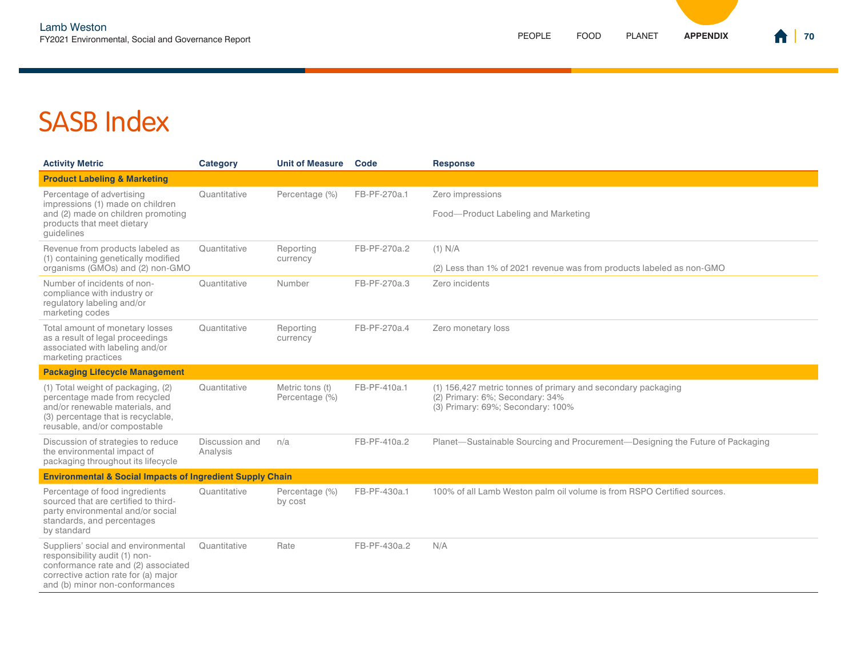| <b>Activity Metric</b>                                                                                                                                                                | <b>Category</b>            | <b>Unit of Measure</b>            | Code         | <b>Response</b>                                                                                                                      |  |
|---------------------------------------------------------------------------------------------------------------------------------------------------------------------------------------|----------------------------|-----------------------------------|--------------|--------------------------------------------------------------------------------------------------------------------------------------|--|
| <b>Product Labeling &amp; Marketing</b>                                                                                                                                               |                            |                                   |              |                                                                                                                                      |  |
| Percentage of advertising<br>impressions (1) made on children<br>and (2) made on children promoting<br>products that meet dietary<br>quidelines                                       | Quantitative               | Percentage (%)                    | FB-PF-270a.1 | Zero impressions                                                                                                                     |  |
|                                                                                                                                                                                       |                            |                                   |              | Food-Product Labeling and Marketing                                                                                                  |  |
| Revenue from products labeled as<br>(1) containing genetically modified<br>organisms (GMOs) and (2) non-GMO                                                                           | Quantitative               | Reporting<br>currency             | FB-PF-270a.2 | $(1)$ N/A<br>(2) Less than 1% of 2021 revenue was from products labeled as non-GMO                                                   |  |
| Number of incidents of non-<br>compliance with industry or<br>regulatory labeling and/or<br>marketing codes                                                                           | Quantitative               | Number                            | FB-PF-270a.3 | Zero incidents                                                                                                                       |  |
| Total amount of monetary losses<br>as a result of legal proceedings<br>associated with labeling and/or<br>marketing practices                                                         | Quantitative               | Reporting<br>currency             | FB-PF-270a.4 | Zero monetary loss                                                                                                                   |  |
| <b>Packaging Lifecycle Management</b>                                                                                                                                                 |                            |                                   |              |                                                                                                                                      |  |
| (1) Total weight of packaging, (2)<br>percentage made from recycled<br>and/or renewable materials, and<br>(3) percentage that is recyclable,<br>reusable, and/or compostable          | Quantitative               | Metric tons (t)<br>Percentage (%) | FB-PF-410a.1 | (1) 156,427 metric tonnes of primary and secondary packaging<br>(2) Primary: 6%; Secondary: 34%<br>(3) Primary: 69%; Secondary: 100% |  |
| Discussion of strategies to reduce<br>the environmental impact of<br>packaging throughout its lifecycle                                                                               | Discussion and<br>Analysis | n/a                               | FB-PF-410a.2 | Planet—Sustainable Sourcing and Procurement—Designing the Future of Packaging                                                        |  |
| <b>Environmental &amp; Social Impacts of Ingredient Supply Chain</b>                                                                                                                  |                            |                                   |              |                                                                                                                                      |  |
| Percentage of food ingredients<br>sourced that are certified to third-<br>party environmental and/or social<br>standards, and percentages<br>by standard                              | Quantitative               | Percentage (%)<br>by cost         | FB-PF-430a.1 | 100% of all Lamb Weston palm oil volume is from RSPO Certified sources.                                                              |  |
| Suppliers' social and environmental<br>responsibility audit (1) non-<br>conformance rate and (2) associated<br>corrective action rate for (a) major<br>and (b) minor non-conformances | Quantitative               | Rate                              | FB-PF-430a.2 | N/A                                                                                                                                  |  |